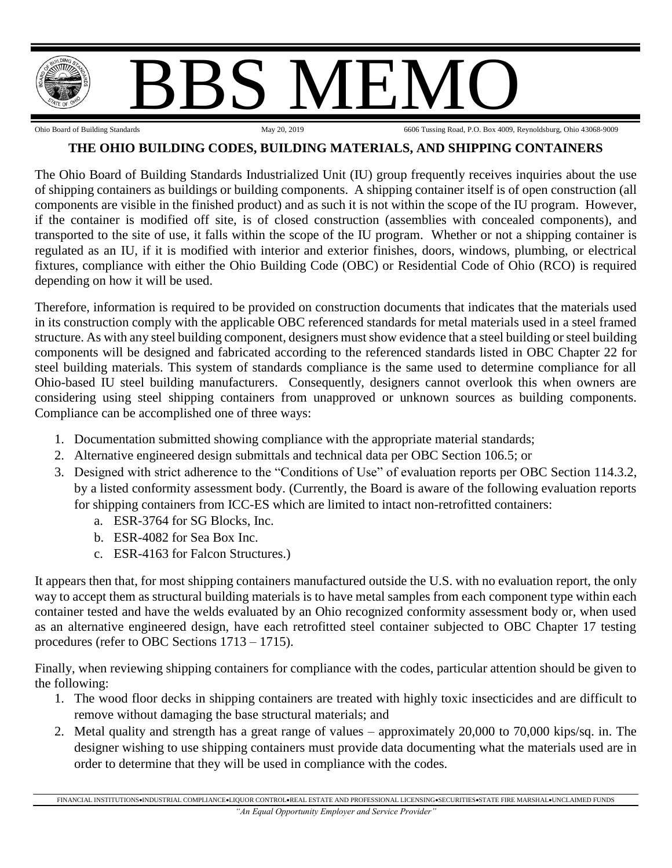

## **THE OHIO BUILDING CODES, BUILDING MATERIALS, AND SHIPPING CONTAINERS**

The Ohio Board of Building Standards Industrialized Unit (IU) group frequently receives inquiries about the use of shipping containers as buildings or building components. A shipping container itself is of open construction (all components are visible in the finished product) and as such it is not within the scope of the IU program. However, if the container is modified off site, is of closed construction (assemblies with concealed components), and transported to the site of use, it falls within the scope of the IU program. Whether or not a shipping container is regulated as an IU, if it is modified with interior and exterior finishes, doors, windows, plumbing, or electrical fixtures, compliance with either the Ohio Building Code (OBC) or Residential Code of Ohio (RCO) is required depending on how it will be used.

Therefore, information is required to be provided on construction documents that indicates that the materials used in its construction comply with the applicable OBC referenced standards for metal materials used in a steel framed structure. As with any steel building component, designers must show evidence that a steel building or steel building components will be designed and fabricated according to the referenced standards listed in OBC Chapter 22 for steel building materials. This system of standards compliance is the same used to determine compliance for all Ohio-based IU steel building manufacturers. Consequently, designers cannot overlook this when owners are considering using steel shipping containers from unapproved or unknown sources as building components. Compliance can be accomplished one of three ways:

- 1. Documentation submitted showing compliance with the appropriate material standards;
- 2. Alternative engineered design submittals and technical data per OBC Section 106.5; or
- 3. Designed with strict adherence to the "Conditions of Use" of evaluation reports per OBC Section 114.3.2, by a listed conformity assessment body. (Currently, the Board is aware of the following evaluation reports for shipping containers from ICC-ES which are limited to intact non-retrofitted containers:
	- a. ESR-3764 for SG Blocks, Inc.
	- b. ESR-4082 for Sea Box Inc.
	- c. ESR-4163 for Falcon Structures.)

It appears then that, for most shipping containers manufactured outside the U.S. with no evaluation report, the only way to accept them as structural building materials is to have metal samples from each component type within each container tested and have the welds evaluated by an Ohio recognized conformity assessment body or, when used as an alternative engineered design, have each retrofitted steel container subjected to OBC Chapter 17 testing procedures (refer to OBC Sections 1713 – 1715).

Finally, when reviewing shipping containers for compliance with the codes, particular attention should be given to the following:

- 1. The wood floor decks in shipping containers are treated with highly toxic insecticides and are difficult to remove without damaging the base structural materials; and
- 2. Metal quality and strength has a great range of values approximately 20,000 to 70,000 kips/sq. in. The designer wishing to use shipping containers must provide data documenting what the materials used are in order to determine that they will be used in compliance with the codes.

FINANCIAL INSTITUTIONS•INDUSTRIAL COMPLIANCE•LIQUOR CONTROL•REAL ESTATE AND PROFESSIONAL LICENSING•SECURITIES•STATE FIRE MARSHAL•UNCLAIMED FUNDS *"An Equal Opportunity Employer and Service Provider"*